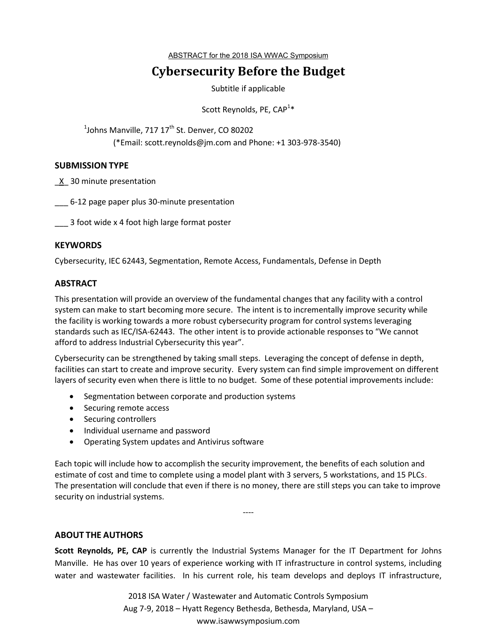ABSTRACT for the 2018 ISA WWAC Symposium

# **Cybersecurity Before the Budget**

Subtitle if applicable

Scott Reynolds, PE, CAP<sup>1</sup>\*

 $^1$ Johns Manville, 717 17<sup>th</sup> St. Denver, CO 80202 (\*Email: scott.reynolds@jm.com and Phone: +1 303-978-3540)

#### **SUBMISSION TYPE**

\_X\_ 30 minute presentation

\_\_\_ 6-12 page paper plus 30-minute presentation

\_\_\_ 3 foot wide x 4 foot high large format poster

## **KEYWORDS**

Cybersecurity, IEC 62443, Segmentation, Remote Access, Fundamentals, Defense in Depth

## **ABSTRACT**

This presentation will provide an overview of the fundamental changes that any facility with a control system can make to start becoming more secure. The intent is to incrementally improve security while the facility is working towards a more robust cybersecurity program for control systems leveraging standards such as IEC/ISA-62443. The other intent is to provide actionable responses to "We cannot afford to address Industrial Cybersecurity this year".

Cybersecurity can be strengthened by taking small steps. Leveraging the concept of defense in depth, facilities can start to create and improve security. Every system can find simple improvement on different layers of security even when there is little to no budget. Some of these potential improvements include:

- Segmentation between corporate and production systems
- Securing remote access
- Securing controllers
- Individual username and password
- Operating System updates and Antivirus software

Each topic will include how to accomplish the security improvement, the benefits of each solution and estimate of cost and time to complete using a model plant with 3 servers, 5 workstations, and 15 PLCs. The presentation will conclude that even if there is no money, there are still steps you can take to improve security on industrial systems.

----

#### **ABOUT THE AUTHORS**

**Scott Reynolds, PE, CAP** is currently the Industrial Systems Manager for the IT Department for Johns Manville. He has over 10 years of experience working with IT infrastructure in control systems, including water and wastewater facilities. In his current role, his team develops and deploys IT infrastructure,

> 2018 ISA Water / Wastewater and Automatic Controls Symposium Aug 7-9, 2018 – Hyatt Regency Bethesda, Bethesda, Maryland, USA – www.isawwsymposium.com